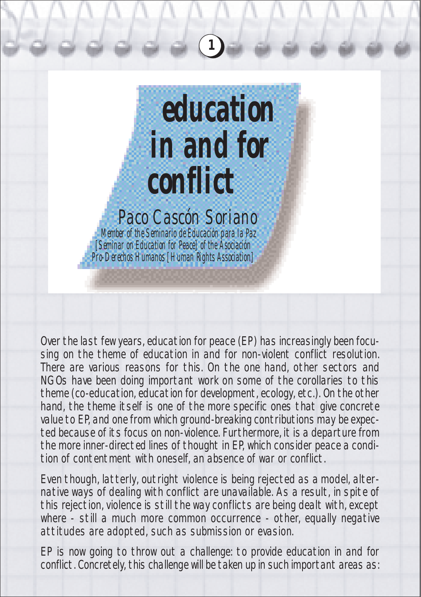

Over the last few years, education for peace (EP) has increasingly been focusing on the theme of education in and for non-violent conflict resolution. There are various reasons for this. On the one hand, other sectors and NGOs have been doing important work on some of the corollaries to this theme (co-education, education for development, ecology, etc.). On the other hand, the theme itself is one of the more specific ones that give concrete value to EP, and one from which ground-breaking contributions may be expected because of its focus on non-violence. Furthermore, it is a departure from the more inner-directed lines of thought in EP, which consider peace a condition of contentment with oneself, an absence of war or conflict.

Even though, latterly, outright violence is being rejected as a model, alternative ways of dealing with conflict are unavailable. As a result, in spite of this rejection, violence is still the way conflicts are being dealt with, except where - still a much more common occurrence - other, equally negative attitudes are adopted, such as submission or evasion.

EP is now going to throw out a challenge: to provide education in and for conflict. Concretely, this challenge will be taken up in such important areas as: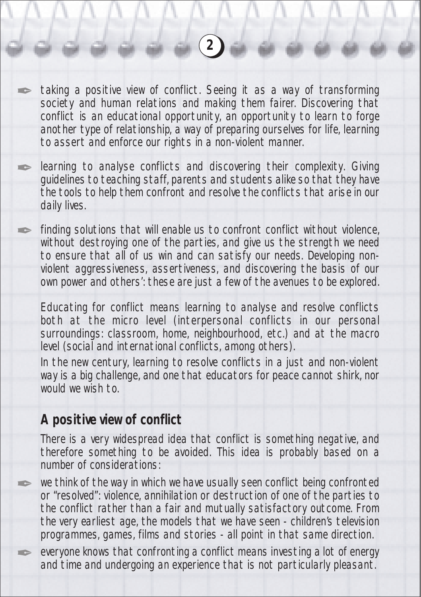taking a positive view of conflict. Seeing it as a way of transforming society and human relations and making them fairer. Discovering that conflict is an educational opportunity, an opportunity to learn to forge another type of relationship, a way of preparing ourselves for life, learning to assert and enforce our rights in a non-violent manner.

**2**

learning to analyse conflicts and discovering their complexity. Giving guidelines to teaching staff, parents and students alike so that they have the tools to help them confront and resolve the conflicts that arise in our daily lives.

finding solutions that will enable us to confront conflict without violence, without destroying one of the parties, and give us the strength we need to ensure that all of us win and can satisfy our needs. Developing nonviolent aggressiveness, assertiveness, and discovering the basis of our own power and others': these are just a few of the avenues to be explored.

Educating for conflict means learning to analyse and resolve conflicts both at the micro level (interpersonal conflicts in our personal surroundings: classroom, home, neighbourhood, etc.) and at the macro level (social and international conflicts, among others).

In the new century, learning to resolve conflicts in a just and non-violent way is a big challenge, and one that educators for peace cannot shirk, nor would we wish to.

## **A positive view of conflict**

✒

**A** 

✒

✒

✒

There is a very widespread idea that conflict is something negative, and therefore something to be avoided. This idea is probably based on a number of considerations:

we think of the way in which we have usually seen conflict being confronted or "resolved": violence, annihilation or destruction of one of the parties to the conflict rather than a fair and mutually satisfactory outcome. From the very earliest age, the models that we have seen - children's television programmes, games, films and stories - all point in that same direction.

everyone knows that confronting a conflict means investing a lot of energy and time and undergoing an experience that is not particularly pleasant.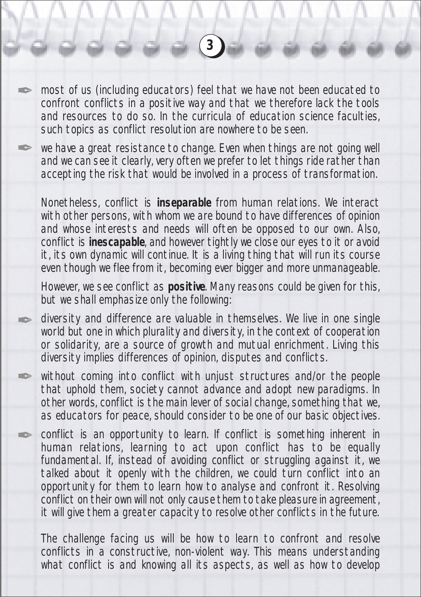most of us (including educators) feel that we have not been educated to confront conflicts in a positive way and that we therefore lack the tools and resources to do so. In the curricula of education science faculties, such topics as conflict resolution are nowhere to be seen.

**3**

we have a great resistance to change. Even when things are not going well and we can see it clearly, very often we prefer to let things ride rather than accepting the risk that would be involved in a process of transformation.

Nonetheless, conflict is **inseparable** from human relations. We interact with other persons, with whom we are bound to have differences of opinion and whose interests and needs will often be opposed to our own. Also, conflict is **inescapable**, and however tightly we close our eyes to it or avoid it, its own dynamic will continue. It is a living thing that will run its course even though we flee from it, becoming ever bigger and more unmanageable.

However, we see conflict as **positive**. Many reasons could be given for this, but we shall emphasize only the following:

diversity and difference are valuable in themselves. We live in one single world but one in which plurality and diversity, in the context of cooperation or solidarity, are a source of growth and mutual enrichment. Living this diversity implies differences of opinion, disputes and conflicts.

without coming into conflict with unjust structures and/or the people that uphold them, society cannot advance and adopt new paradigms. In other words, conflict is the main lever of social change, something that we, as educators for peace, should consider to be one of our basic objectives.

**Contract Contract Contract Contract Contract Contract Contract Contract Contract Contract Contract Contract Co** 

**September 1986** 

**Altres** 

**Altres** 

**SERVICE** 

conflict is an opportunity to learn. If conflict is something inherent in human relations, learning to act upon conflict has to be equally fundamental. If, instead of avoiding conflict or struggling against it, we talked about it openly with the children, we could turn conflict into an opportunity for them to learn how to analyse and confront it. Resolving conflict on their own will not only cause them to take pleasure in agreement, it will give them a greater capacity to resolve other conflicts in the future.

The challenge facing us will be how to learn to confront and resolve conflicts in a constructive, non-violent way. This means understanding what conflict is and knowing all its aspects, as well as how to develop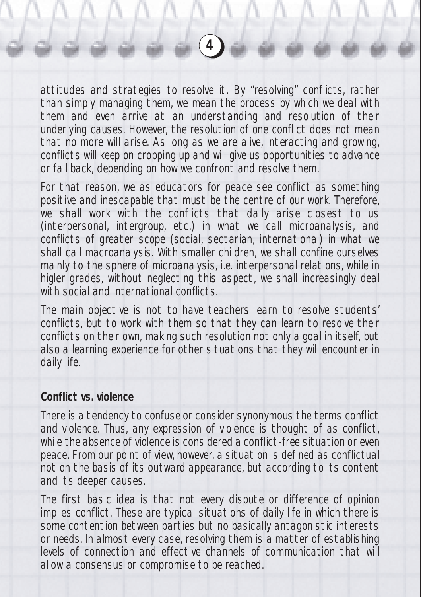attitudes and strategies to resolve it. By "resolving" conflicts, rather than simply managing them, we mean the process by which we deal with them and even arrive at an understanding and resolution of their underlying causes. However, the resolution of one conflict does not mean that no more will arise. As long as we are alive, interacting and growing, conflicts will keep on cropping up and will give us opportunities to advance or fall back, depending on how we confront and resolve them.

**4**

For that reason, we as educators for peace see conflict as something positive and inescapable that must be the centre of our work. Therefore, we shall work with the conflicts that daily arise closest to us (interpersonal, intergroup, etc.) in what we call microanalysis, and conflicts of greater scope (social, sectarian, international) in what we shall call macroanalysis. With smaller children, we shall confine ourselves mainly to the sphere of microanalysis, i.e. interpersonal relations, while in higler grades, without neglecting this aspect, we shall increasingly deal with social and international conflicts.

The main objective is not to have teachers learn to resolve students' conflicts, but to work with them so that they can learn to resolve their conflicts on their own, making such resolution not only a goal in itself, but also a learning experience for other situations that they will encounter in daily life.

## **Conflict vs. violence**

There is a tendency to confuse or consider synonymous the terms conflict and violence. Thus, any expression of violence is thought of as conflict, while the absence of violence is considered a conflict-free situation or even peace. From our point of view, however, a situation is defined as conflictual not on the basis of its outward appearance, but according to its content and its deeper causes.

The first basic idea is that not every dispute or difference of opinion implies conflict. These are typical situations of daily life in which there is some contention between parties but no basically antagonistic interests or needs. In almost every case, resolving them is a matter of establishing levels of connection and effective channels of communication that will allow a consensus or compromise to be reached.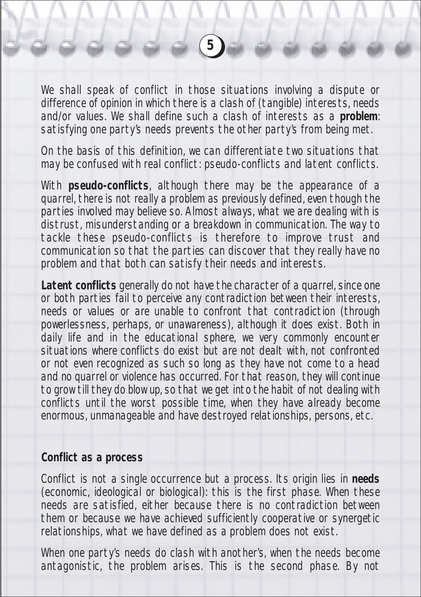We shall speak of conflict in those situations involving a dispute or difference of opinion in which there is a clash of (tangible) interests, needs and/or values. We shall define such a clash of interests as a **problem**: satisfying one party's needs prevents the other party's from being met.

On the basis of this definition, we can differentiate two situations that may be confused with real conflict: pseudo-conflicts and latent conflicts.

With **pseudo-conflicts**, although there may be the appearance of a quarrel, there is not really a problem as previously defined, even though the parties involved may believe so. Almost always, what we are dealing with is distrust, misunderstanding or a breakdown in communication. The way to tackle these pseudo-conflicts is therefore to improve trust and communication so that the parties can discover that they really have no problem and that both can satisfy their needs and interests.

**Latent conflicts** generally do not have the character of a quarrel, since one or both parties fail to perceive any contradiction between their interests, needs or values or are unable to confront that contradiction (through powerlessness, perhaps, or unawareness), although it does exist. Both in daily life and in the educational sphere, we very commonly encounter situations where conflicts do exist but are not dealt with, not confronted or not even recognized as such so long as they have not come to a head and no quarrel or violence has occurred. For that reason, they will continue to grow till they do blow up, so that we get into the habit of not dealing with conflicts until the worst possible time, when they have already become enormous, unmanageable and have destroyed relationships, persons, etc.

#### **Conflict as a process**

Conflict is not a single occurrence but a process. Its origin lies in **needs** (economic, ideological or biological): this is the first phase. When these needs are satisfied, either because there is no contradiction between them or because we have achieved sufficiently cooperative or synergetic relationships, what we have defined as a problem does not exist.

When one party's needs do clash with another's, when the needs become antagonistic, the problem arises. This is the second phase. By not

**5**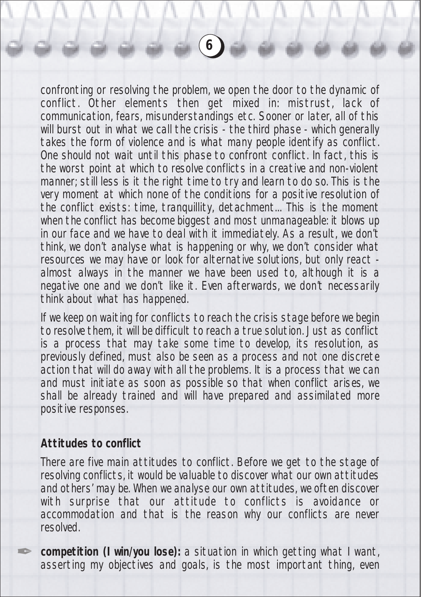confronting or resolving the problem, we open the door to the dynamic of conflict. Other elements then get mixed in: mistrust, lack of communication, fears, misunderstandings etc. Sooner or later, all of this will burst out in what we call the crisis - the third phase - which generally takes the form of violence and is what many people identify as conflict. One should not wait until this phase to confront conflict. In fact, this is the worst point at which to resolve conflicts in a creative and non-violent manner; still less is it the right time to try and learn to do so. This is the very moment at which none of the conditions for a positive resolution of the conflict exists: time, tranquillity, detachment... This is the moment when the conflict has become biggest and most unmanageable: it blows up in our face and we have to deal with it immediately. As a result, we don't think, we don't analyse what is happening or why, we don't consider what resources we may have or look for alternative solutions, but only react almost always in the manner we have been used to, although it is a negative one and we don't like it. Even afterwards, we don't necessarily think about what has happened.

If we keep on waiting for conflicts to reach the crisis stage before we begin to resolve them, it will be difficult to reach a true solution. Just as conflict is a process that may take some time to develop, its resolution, as previously defined, must also be seen as a process and not one discrete action that will do away with all the problems. It is a process that we can and must initiate as soon as possible so that when conflict arises, we shall be already trained and will have prepared and assimilated more positive responses.

## **Attitudes to conflict**

✒

There are five main attitudes to conflict. Before we get to the stage of resolving conflicts, it would be valuable to discover what our own attitudes and others' may be. When we analyse our own attitudes, we often discover with surprise that our attitude to conflicts is avoidance or accommodation and that is the reason why our conflicts are never resolved.

**competition (I win/you lose):** a situation in which getting what I want, asserting my objectives and goals, is the most important thing, even

**6**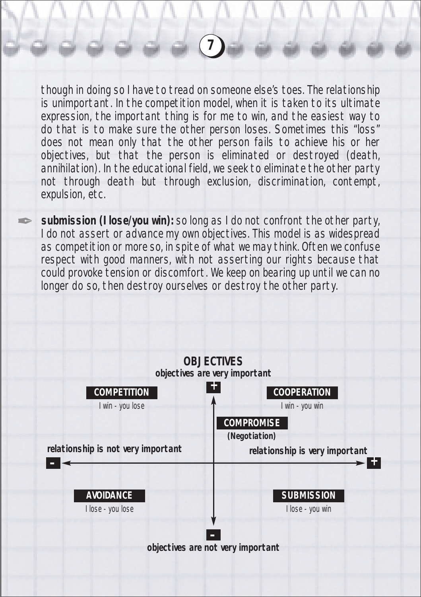though in doing so I have to tread on someone else's toes. The relationship is unimportant. In the competition model, when it is taken to its ultimate expression, the important thing is for me to win, and the easiest way to do that is to make sure the other person loses. Sometimes this "loss" does not mean only that the other person fails to achieve his or her objectives, but that the person is eliminated or destroyed (death, annihilation). In the educational field, we seek to eliminate the other party not through death but through exclusion, discrimination, contempt, expulsion, etc.

**7**

**submission (I lose/you win):** so long as I do not confront the other party, I do not assert or advance my own objectives. This model is as widespread as competition or more so, in spite of what we may think. Often we confuse respect with good manners, with not asserting our rights because that could provoke tension or discomfort. We keep on bearing up until we can no longer do so, then destroy ourselves or destroy the other party.

**SERVICE** 

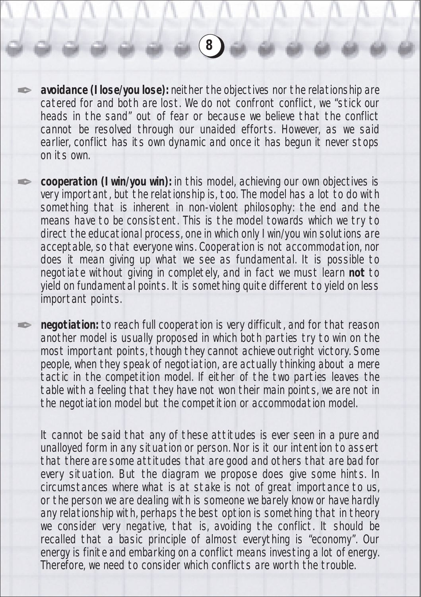**avoidance (I lose/you lose):** neither the objectives nor the relationship are catered for and both are lost. We do not confront conflict, we "stick our heads in the sand" out of fear or because we believe that the conflict cannot be resolved through our unaided efforts. However, as we said earlier, conflict has its own dynamic and once it has begun it never stops on its own.

✒

✒

✒

**cooperation (I win/you win):** in this model, achieving our own objectives is very important, but the relationship is, too. The model has a lot to do with something that is inherent in non-violent philosophy: the end and the means have to be consistent. This is the model towards which we try to direct the educational process, one in which only I win/you win solutions are acceptable, so that everyone wins. Cooperation is not accommodation, nor does it mean giving up what we see as fundamental. It is possible to negotiate without giving in completely, and in fact we must learn **not** to yield on fundamental points. It is something quite different to yield on less important points.

**negotiation:** to reach full cooperation is very difficult, and for that reason another model is usually proposed in which both parties try to win on the most important points, though they cannot achieve outright victory. Some people, when they speak of negotiation, are actually thinking about a mere tactic in the competition model. If either of the two parties leaves the table with a feeling that they have not won their main points, we are not in the negotiation model but the competition or accommodation model.

It cannot be said that any of these attitudes is ever seen in a pure and unalloyed form in any situation or person. Nor is it our intention to assert that there are some attitudes that are good and others that are bad for every situation. But the diagram we propose does give some hints. In circumstances where what is at stake is not of great importance to us, or the person we are dealing with is someone we barely know or have hardly any relationship with, perhaps the best option is something that in theory we consider very negative, that is, avoiding the conflict. It should be recalled that a basic principle of almost everything is "economy". Our energy is finite and embarking on a conflict means investing a lot of energy. Therefore, we need to consider which conflicts are worth the trouble.

**8**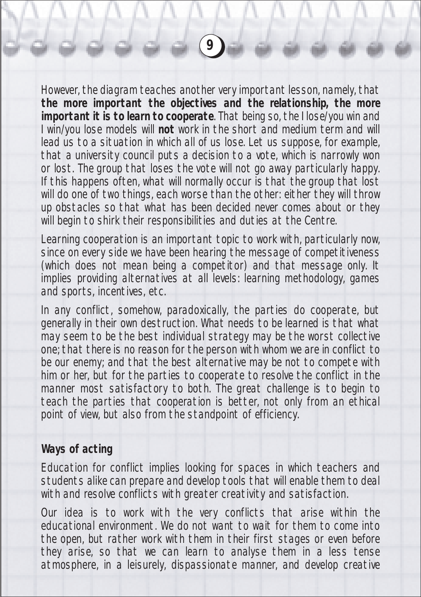However, the diagram teaches another very important lesson, namely, that **the more important the objectives and the relationship, the more important it is to learn to cooperate**. That being so, the I lose/you win and I win/you lose models will **not** work in the short and medium term and will lead us to a situation in which all of us lose. Let us suppose, for example, that a university council puts a decision to a vote, which is narrowly won or lost. The group that loses the vote will not go away particularly happy. If this happens often, what will normally occur is that the group that lost will do one of two things, each worse than the other: either they will throw up obstacles so that what has been decided never comes about or they will begin to shirk their responsibilities and duties at the Centre.

Learning cooperation is an important topic to work with, particularly now, since on every side we have been hearing the message of competitiveness (which does not mean being a competitor) and that message only. It implies providing alternatives at all levels: learning methodology, games and sports, incentives, etc.

In any conflict, somehow, paradoxically, the parties do cooperate, but generally in their own destruction. What needs to be learned is that what may seem to be the best individual strategy may be the worst collective one; that there is no reason for the person with whom we are in conflict to be our enemy; and that the best alternative may be not to compete with him or her, but for the parties to cooperate to resolve the conflict in the manner most satisfactory to both. The great challenge is to begin to teach the parties that cooperation is better, not only from an ethical point of view, but also from the standpoint of efficiency.

## **Ways of acting**

Education for conflict implies looking for spaces in which teachers and students alike can prepare and develop tools that will enable them to deal with and resolve conflicts with greater creativity and satisfaction.

Our idea is to work with the very conflicts that arise within the educational environment. We do not want to wait for them to come into the open, but rather work with them in their first stages or even before they arise, so that we can learn to analyse them in a less tense atmosphere, in a leisurely, dispassionate manner, and develop creative

**9**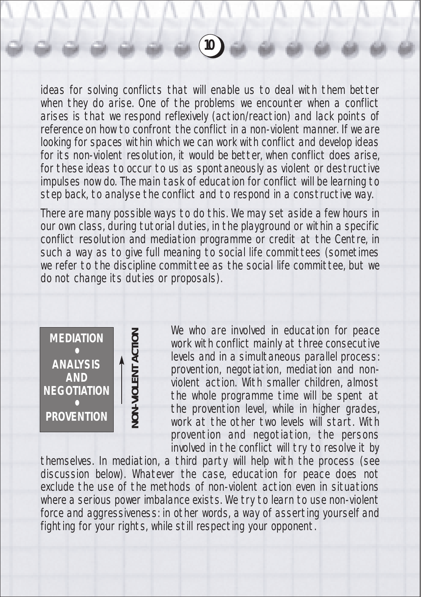ideas for solving conflicts that will enable us to deal with them better when they do arise. One of the problems we encounter when a conflict arises is that we respond reflexively (action/reaction) and lack points of reference on how to confront the conflict in a non-violent manner. If we are looking for spaces within which we can work with conflict and develop ideas for its non-violent resolution, it would be better, when conflict does arise, for these ideas to occur to us as spontaneously as violent or destructive impulses now do. The main task of education for conflict will be learning to step back, to analyse the conflict and to respond in a constructive way.

There are many possible ways to do this. We may set aside a few hours in our own class, during tutorial duties, in the playground or within a specific conflict resolution and mediation programme or credit at the Centre, in such a way as to give full meaning to social life committees (sometimes we refer to the discipline committee as the social life committee, but we do not change its duties or proposals).



We who are involved in education for peace work with conflict mainly at three consecutive levels and in a simultaneous parallel process: provention, negotiation, mediation and nonviolent action. With smaller children, almost the whole programme time will be spent at the provention level, while in higher grades, work at the other two levels will start. With provention and negotiation, the persons involved in the conflict will try to resolve it by

themselves. In mediation, a third party will help with the process (see discussion below). Whatever the case, education for peace does not exclude the use of the methods of non-violent action even in situations where a serious power imbalance exists. We try to learn to use non-violent force and aggressiveness: in other words, a way of asserting yourself and fighting for your rights, while still respecting your opponent.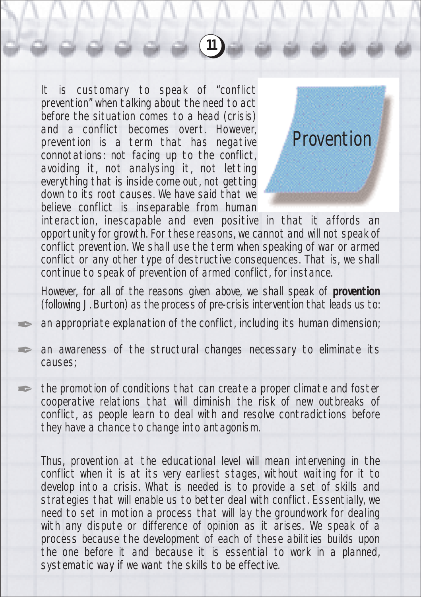It is customary to speak of "conflict prevention" when talking about the need to act before the situation comes to a head (crisis) and a conflict becomes overt. However, prevention is a term that has negative connotations: not facing up to the conflict, avoiding it, not analysing it, not letting everything that is inside come out, not getting down to its root causes. We have said that we believe conflict is inseparable from human

**SERVICE** 

**September 2007** 

**September 2007** 



interaction, inescapable and even positive in that it affords an opportunity for growth. For these reasons, we cannot and will not speak of conflict prevention. We shall use the term when speaking of war or armed conflict or any other type of destructive consequences. That is, we shall continue to speak of prevention of armed conflict, for instance.

**11**

However, for all of the reasons given above, we shall speak of **provention** (following J. Burton) as the process of pre-crisis intervention that leads us to:

an appropriate explanation of the conflict, including its human dimension;

an awareness of the structural changes necessary to eliminate its causes;

the promotion of conditions that can create a proper climate and foster cooperative relations that will diminish the risk of new outbreaks of conflict, as people learn to deal with and resolve contradictions before they have a chance to change into antagonism.

Thus, provention at the educational level will mean intervening in the conflict when it is at its very earliest stages, without waiting for it to develop into a crisis. What is needed is to provide a set of skills and strategies that will enable us to better deal with conflict. Essentially, we need to set in motion a process that will lay the groundwork for dealing with any dispute or difference of opinion as it arises. We speak of a process because the development of each of these abilities builds upon the one before it and because it is essential to work in a planned, systematic way if we want the skills to be effective.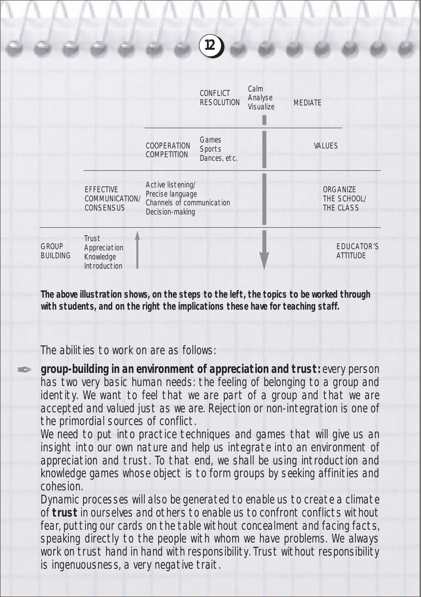

**The above illustration shows, on the steps to the left, the topics to be worked through with students, and on the right the implications these have for teaching staff.**

The abilities to work on are as follows:

✒

**group-building in an environment of appreciation and trust:** every person has two very basic human needs: the feeling of belonging to a group and identity. We want to feel that we are part of a group and that we are accepted and valued just as we are. Rejection or non-integration is one of the primordial sources of conflict.

We need to put into practice techniques and games that will give us an insight into our own nature and help us integrate into an environment of appreciation and trust. To that end, we shall be using introduction and knowledge games whose object is to form groups by seeking affinities and cohesion.

Dynamic processes will also be generated to enable us to create a climate of **trust** in ourselves and others to enable us to confront conflicts without fear, putting our cards on the table without concealment and facing facts, speaking directly to the people with whom we have problems. We always work on trust hand in hand with responsibility. Trust without responsibility is ingenuousness, a very negative trait.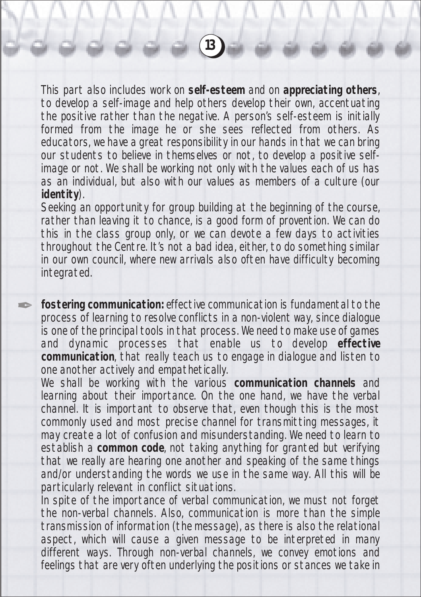This part also includes work on **self-esteem** and on **appreciating others**, to develop a self-image and help others develop their own, accentuating the positive rather than the negative. A person's self-esteem is initially formed from the image he or she sees reflected from others. As educators, we have a great responsibility in our hands in that we can bring our students to believe in themselves or not, to develop a positive selfimage or not. We shall be working not only with the values each of us has as an individual, but also with our values as members of a culture (our **identity**).

**13**

Seeking an opportunity for group building at the beginning of the course, rather than leaving it to chance, is a good form of provention. We can do this in the class group only, or we can devote a few days to activities throughout the Centre. It's not a bad idea, either, to do something similar in our own council, where new arrivals also often have difficulty becoming integrated.

**fostering communication:** effective communication is fundamental to the process of learning to resolve conflicts in a non-violent way, since dialogue is one of the principal tools in that process. We need to make use of games and dynamic processes that enable us to develop **effective communication**, that really teach us to engage in dialogue and listen to one another actively and empathetically.

**September 2007** 

We shall be working with the various **communication channels** and learning about their importance. On the one hand, we have the verbal channel. It is important to observe that, even though this is the most commonly used and most precise channel for transmitting messages, it may create a lot of confusion and misunderstanding. We need to learn to establish a **common code**, not taking anything for granted but verifying that we really are hearing one another and speaking of the same things and/or understanding the words we use in the same way. All this will be particularly relevant in conflict situations.

In spite of the importance of verbal communication, we must not forget the non-verbal channels. Also, communication is more than the simple transmission of information (the message), as there is also the relational aspect, which will cause a given message to be interpreted in many different ways. Through non-verbal channels, we convey emotions and feelings that are very often underlying the positions or stances we take in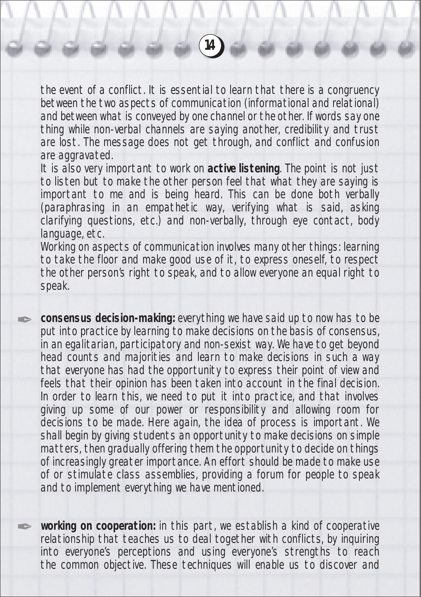the event of a conflict. It is essential to learn that there is a congruency between the two aspects of communication (informational and relational) and between what is conveyed by one channel or the other. If words say one thing while non-verbal channels are saying another, credibility and trust are lost. The message does not get through, and conflict and confusion are aggravated.

It is also very important to work on **active listening**. The point is not just to listen but to make the other person feel that what they are saying is important to me and is being heard. This can be done both verbally (paraphrasing in an empathetic way, verifying what is said, asking clarifying questions, etc.) and non-verbally, through eye contact, body language, etc.

Working on aspects of communication involves many other things: learning to take the floor and make good use of it, to express oneself, to respect the other person's right to speak, and to allow everyone an equal right to speak.

**A** 

**A** 

**consensus decision-making:** everything we have said up to now has to be put into practice by learning to make decisions on the basis of consensus, in an egalitarian, participatory and non-sexist way. We have to get beyond head counts and majorities and learn to make decisions in such a way that everyone has had the opportunity to express their point of view and feels that their opinion has been taken into account in the final decision. In order to learn this, we need to put it into practice, and that involves giving up some of our power or responsibility and allowing room for decisions to be made. Here again, the idea of process is important. We shall begin by giving students an opportunity to make decisions on simple matters, then gradually offering them the opportunity to decide on things of increasingly greater importance. An effort should be made to make use of or stimulate class assemblies, providing a forum for people to speak and to implement everything we have mentioned.

**working on cooperation:** in this part, we establish a kind of cooperative relationship that teaches us to deal together with conflicts, by inquiring into everyone's perceptions and using everyone's strengths to reach the common objective. These techniques will enable us to discover and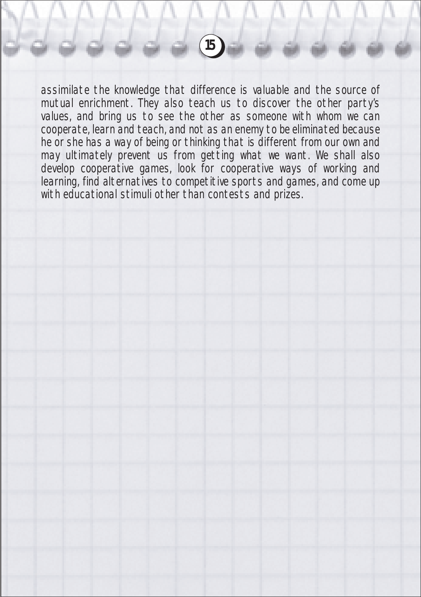assimilate the knowledge that difference is valuable and the source of mutual enrichment. They also teach us to discover the other party's values, and bring us to see the other as someone with whom we can cooperate, learn and teach, and not as an enemy to be eliminated because he or she has a way of being or thinking that is different from our own and may ultimately prevent us from getting what we want. We shall also develop cooperative games, look for cooperative ways of working and learning, find alternatives to competitive sports and games, and come up with educational stimuli other than contests and prizes.

**15**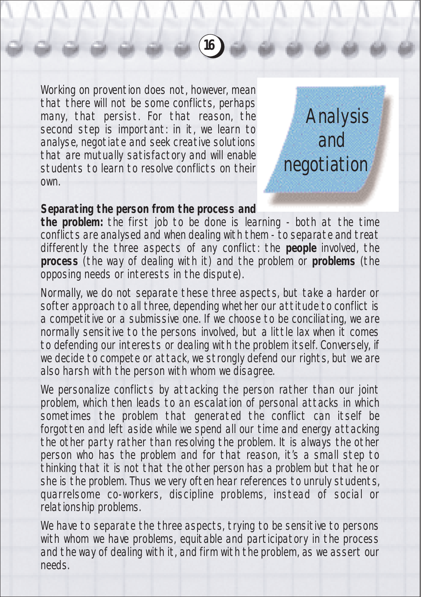Working on provention does not, however, mean that there will not be some conflicts, perhaps many, that persist. For that reason, the second step is important: in it, we learn to analyse, negotiate and seek creative solutions that are mutually satisfactory and will enable students to learn to resolve conflicts on their own.



## **Separating the person from the process and**

**the problem:** the first job to be done is learning - both at the time conflicts are analysed and when dealing with them - to separate and treat differently the three aspects of any conflict: the **people** involved, the **process** (the way of dealing with it) and the problem or **problems** (the opposing needs or interests in the dispute).

**16**

Normally, we do not separate these three aspects, but take a harder or softer approach to all three, depending whether our attitude to conflict is a competitive or a submissive one. If we choose to be conciliating, we are normally sensitive to the persons involved, but a little lax when it comes to defending our interests or dealing with the problem itself. Conversely, if we decide to compete or attack, we strongly defend our rights, but we are also harsh with the person with whom we disagree.

We personalize conflicts by attacking the person rather than our joint problem, which then leads to an escalation of personal attacks in which sometimes the problem that generated the conflict can itself be forgotten and left aside while we spend all our time and energy attacking the other party rather than resolving the problem. It is always the other person who has the problem and for that reason, it's a small step to thinking that it is not that the other person has a problem but that he or she is the problem. Thus we very often hear references to unruly students, quarrelsome co-workers, discipline problems, instead of social or relationship problems.

We have to separate the three aspects, trying to be sensitive to persons with whom we have problems, equitable and participatory in the process and the way of dealing with it, and firm with the problem, as we assert our needs.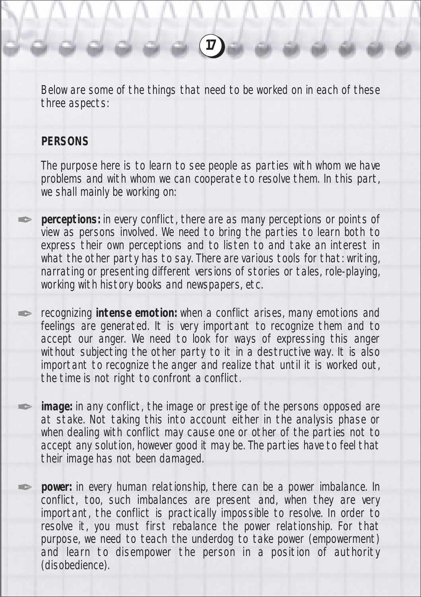Below are some of the things that need to be worked on in each of these three aspects:

**17**

#### **PERSONS**

**September 1988** 

**SERVICE** 

**September 2007** 

**SERVICE** 

The purpose here is to learn to see people as parties with whom we have problems and with whom we can cooperate to resolve them. In this part, we shall mainly be working on:

**perceptions:** in every conflict, there are as many perceptions or points of view as persons involved. We need to bring the parties to learn both to express their own perceptions and to listen to and take an interest in what the other party has to say. There are various tools for that: writing, narrating or presenting different versions of stories or tales, role-playing, working with history books and newspapers, etc.

recognizing **intense emotion:** when a conflict arises, many emotions and feelings are generated. It is very important to recognize them and to accept our anger. We need to look for ways of expressing this anger without subjecting the other party to it in a destructive way. It is also important to recognize the anger and realize that until it is worked out, the time is not right to confront a conflict.

**image:** in any conflict, the image or prestige of the persons opposed are at stake. Not taking this into account either in the analysis phase or when dealing with conflict may cause one or other of the parties not to accept any solution, however good it may be. The parties have to feel that their image has not been damaged.

**power:** in every human relationship, there can be a power imbalance. In conflict, too, such imbalances are present and, when they are very important, the conflict is practically impossible to resolve. In order to resolve it, you must first rebalance the power relationship. For that purpose, we need to teach the underdog to take power (empowerment) and learn to disempower the person in a position of authority (disobedience).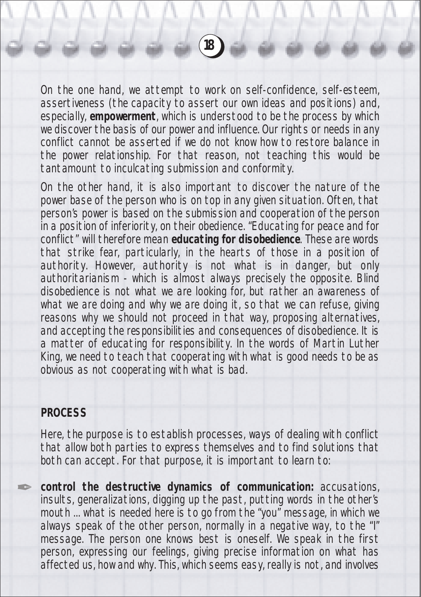On the one hand, we attempt to work on self-confidence, self-esteem, assertiveness (the capacity to assert our own ideas and positions) and, especially, **empowerment**, which is understood to be the process by which we discover the basis of our power and influence. Our rights or needs in any conflict cannot be asserted if we do not know how to restore balance in the power relationship. For that reason, not teaching this would be tantamount to inculcating submission and conformity.

**18**

On the other hand, it is also important to discover the nature of the power base of the person who is on top in any given situation. Often, that person's power is based on the submission and cooperation of the person in a position of inferiority, on their obedience. "Educating for peace and for conflict" will therefore mean **educating for disobedience**. These are words that strike fear, particularly, in the hearts of those in a position of authority. However, authority is not what is in danger, but only authoritarianism - which is almost always precisely the opposite. Blind disobedience is not what we are looking for, but rather an awareness of what we are doing and why we are doing it, so that we can refuse, giving reasons why we should not proceed in that way, proposing alternatives, and accepting the responsibilities and consequences of disobedience. It is a matter of educating for responsibility. In the words of Martin Luther King, we need to teach that cooperating with what is good needs to be as obvious as not cooperating with what is bad.

## **PROCESS**

**Altres** 

Here, the purpose is to establish processes, ways of dealing with conflict that allow both parties to express themselves and to find solutions that both can accept. For that purpose, it is important to learn to:

**control the destructive dynamics of communication:** accusations, insults, generalizations, digging up the past, putting words in the other's mouth ... what is needed here is to go from the "you" message, in which we always speak of the other person, normally in a negative way, to the "I" message. The person one knows best is oneself. We speak in the first person, expressing our feelings, giving precise information on what has affected us, how and why. This, which seems easy, really is not, and involves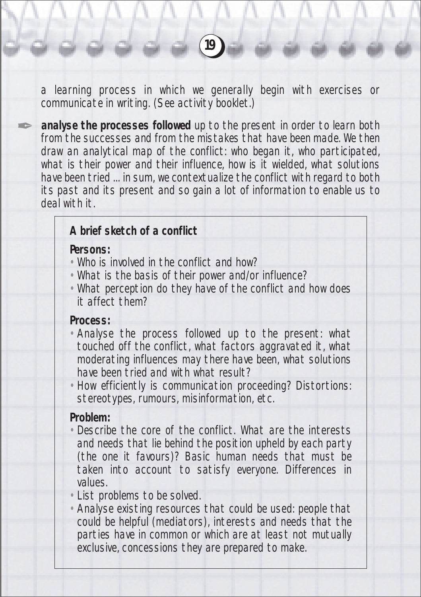a learning process in which we generally begin with exercises or communicate in writing. (See activity booklet.)

**analyse the processes followed** up to the present in order to learn both from the successes and from the mistakes that have been made. We then draw an analytical map of the conflict: who began it, who participated, what is their power and their influence, how is it wielded, what solutions have been tried ... in sum, we contextualize the conflict with regard to both its past and its present and so gain a lot of information to enable us to deal with it.

## **A brief sketch of a conflict**

#### **Persons:**

**SERVICE** 

- Who is involved in the conflict and how?
- What is the basis of their power and/or influence?
- What perception do they have of the conflict and how does it affect them?

#### **Process:**

- Analyse the process followed up to the present: what touched off the conflict, what factors aggravated it, what moderating influences may there have been, what solutions have been tried and with what result?
- How efficiently is communication proceeding? Distortions: stereotypes, rumours, misinformation, etc.

#### **Problem:**

- Describe the core of the conflict. What are the interests and needs that lie behind the position upheld by each party (the one it favours)? Basic human needs that must be taken into account to satisfy everyone. Differences in values.
- List problems to be solved.
- Analyse existing resources that could be used: people that could be helpful (mediators), interests and needs that the parties have in common or which are at least not mutually exclusive, concessions they are prepared to make.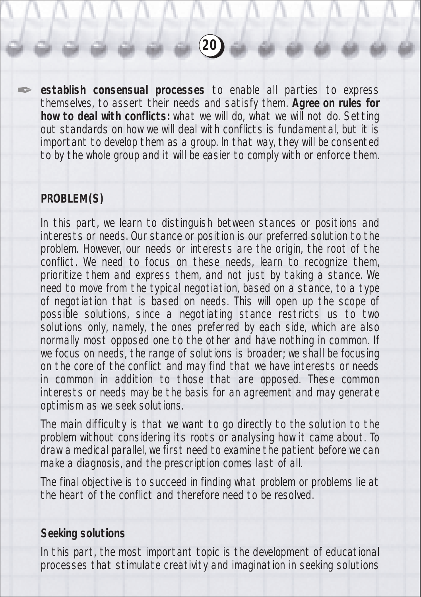**establish consensual processes** to enable all parties to express themselves, to assert their needs and satisfy them. **Agree on rules for how to deal with conflicts:** what we will do, what we will not do. Setting out standards on how we will deal with conflicts is fundamental, but it is important to develop them as a group. In that way, they will be consented to by the whole group and it will be easier to comply with or enforce them.

**20**

## **PROBLEM(S)**

✒

In this part, we learn to distinguish between stances or positions and interests or needs. Our stance or position is our preferred solution to the problem. However, our needs or interests are the origin, the root of the conflict. We need to focus on these needs, learn to recognize them, prioritize them and express them, and not just by taking a stance. We need to move from the typical negotiation, based on a stance, to a type of negotiation that is based on needs. This will open up the scope of possible solutions, since a negotiating stance restricts us to two solutions only, namely, the ones preferred by each side, which are also normally most opposed one to the other and have nothing in common. If we focus on needs, the range of solutions is broader; we shall be focusing on the core of the conflict and may find that we have interests or needs in common in addition to those that are opposed. These common interests or needs may be the basis for an agreement and may generate optimism as we seek solutions.

The main difficulty is that we want to go directly to the solution to the problem without considering its roots or analysing how it came about. To draw a medical parallel, we first need to examine the patient before we can make a diagnosis, and the prescription comes last of all.

The final objective is to succeed in finding what problem or problems lie at the heart of the conflict and therefore need to be resolved.

#### **Seeking solutions**

In this part, the most important topic is the development of educational processes that stimulate creativity and imagination in seeking solutions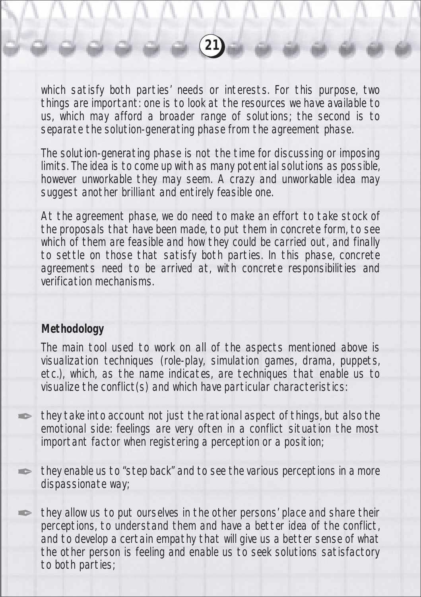which satisfy both parties' needs or interests. For this purpose, two things are important: one is to look at the resources we have available to us, which may afford a broader range of solutions; the second is to separate the solution-generating phase from the agreement phase.

**21**

The solution-generating phase is not the time for discussing or imposing limits. The idea is to come up with as many potential solutions as possible, however unworkable they may seem. A crazy and unworkable idea may suggest another brilliant and entirely feasible one.

At the agreement phase, we do need to make an effort to take stock of the proposals that have been made, to put them in concrete form, to see which of them are feasible and how they could be carried out, and finally to settle on those that satisfy both parties. In this phase, concrete agreements need to be arrived at, with concrete responsibilities and verification mechanisms.

## **Methodology**

**SERVICE** 

**September 2007** 

**September 2007** 

The main tool used to work on all of the aspects mentioned above is visualization techniques (role-play, simulation games, drama, puppets, etc.), which, as the name indicates, are techniques that enable us to visualize the conflict(s) and which have particular characteristics:

they take into account not just the rational aspect of things, but also the emotional side: feelings are very often in a conflict situation the most important factor when registering a perception or a position;

they enable us to "step back" and to see the various perceptions in a more dispassionate way;

they allow us to put ourselves in the other persons' place and share their perceptions, to understand them and have a better idea of the conflict, and to develop a certain empathy that will give us a better sense of what the other person is feeling and enable us to seek solutions satisfactory to both parties;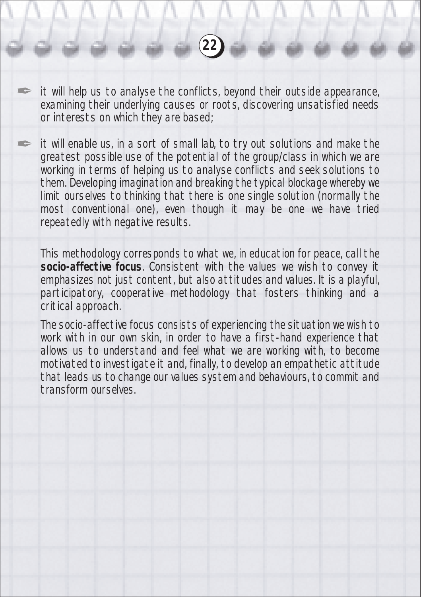it will help us to analyse the conflicts, beyond their outside appearance, examining their underlying causes or roots, discovering unsatisfied needs or interests on which they are based;

✒

✒

**22**

it will enable us, in a sort of small lab, to try out solutions and make the greatest possible use of the potential of the group/class in which we are working in terms of helping us to analyse conflicts and seek solutions to them. Developing imagination and breaking the typical blockage whereby we limit ourselves to thinking that there is one single solution (normally the most conventional one), even though it may be one we have tried repeatedly with negative results.

This methodology corresponds to what we, in education for peace, call the **socio-affective focus**. Consistent with the values we wish to convey it emphasizes not just content, but also attitudes and values. It is a playful, participatory, cooperative methodology that fosters thinking and a critical approach.

The socio-affective focus consists of experiencing the situation we wish to work with in our own skin, in order to have a first-hand experience that allows us to understand and feel what we are working with, to become motivated to investigate it and, finally, to develop an empathetic attitude that leads us to change our values system and behaviours, to commit and transform ourselves.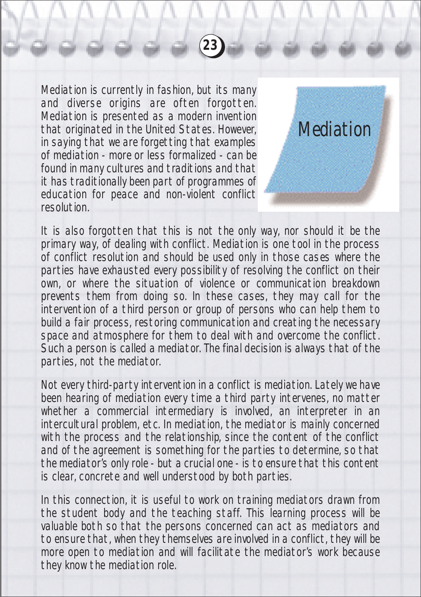Mediation is currently in fashion, but its many and diverse origins are often forgotten. Mediation is presented as a modern invention that originated in the United States. However, in saying that we are forgetting that examples of mediation - more or less formalized - can be found in many cultures and traditions and that it has traditionally been part of programmes of education for peace and non-violent conflict resolution.



It is also forgotten that this is not the only way, nor should it be the primary way, of dealing with conflict. Mediation is one tool in the process of conflict resolution and should be used only in those cases where the parties have exhausted every possibility of resolving the conflict on their own, or where the situation of violence or communication breakdown prevents them from doing so. In these cases, they may call for the intervention of a third person or group of persons who can help them to build a fair process, restoring communication and creating the necessary space and atmosphere for them to deal with and overcome the conflict. Such a person is called a mediator. The final decision is always that of the parties, not the mediator.

**23**

Not every third-party intervention in a conflict is mediation. Lately we have been hearing of mediation every time a third party intervenes, no matter whether a commercial intermediary is involved, an interpreter in an intercultural problem, etc. In mediation, the mediator is mainly concerned with the process and the relationship, since the content of the conflict and of the agreement is something for the parties to determine, so that the mediator's only role - but a crucial one - is to ensure that this content is clear, concrete and well understood by both parties.

In this connection, it is useful to work on training mediators drawn from the student body and the teaching staff. This learning process will be valuable both so that the persons concerned can act as mediators and to ensure that, when they themselves are involved in a conflict, they will be more open to mediation and will facilitate the mediator's work because they know the mediation role.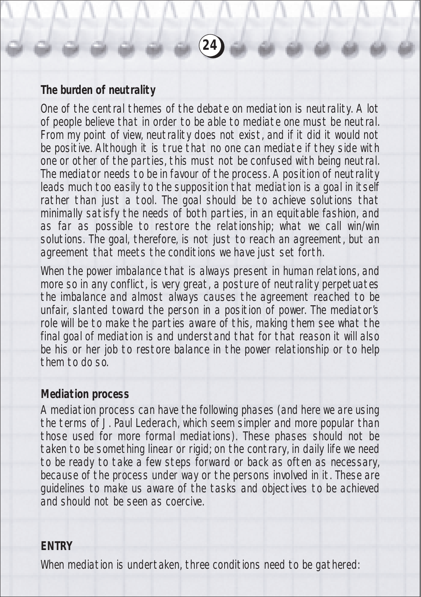## **The burden of neutrality**

One of the central themes of the debate on mediation is neutrality. A lot of people believe that in order to be able to mediate one must be neutral. From my point of view, neutrality does not exist, and if it did it would not be positive. Although it is true that no one can mediate if they side with one or other of the parties, this must not be confused with being neutral. The mediator needs to be in favour of the process. A position of neutrality leads much too easily to the supposition that mediation is a goal in itself rather than just a tool. The goal should be to achieve solutions that minimally satisfy the needs of both parties, in an equitable fashion, and as far as possible to restore the relationship; what we call win/win solutions. The goal, therefore, is not just to reach an agreement, but an agreement that meets the conditions we have just set forth.

**24**

When the power imbalance that is always present in human relations, and more so in any conflict, is very great, a posture of neutrality perpetuates the imbalance and almost always causes the agreement reached to be unfair, slanted toward the person in a position of power. The mediator's role will be to make the parties aware of this, making them see what the final goal of mediation is and understand that for that reason it will also be his or her job to restore balance in the power relationship or to help them to do so.

#### **Mediation process**

A mediation process can have the following phases (and here we are using the terms of J. Paul Lederach, which seem simpler and more popular than those used for more formal mediations). These phases should not be taken to be something linear or rigid; on the contrary, in daily life we need to be ready to take a few steps forward or back as often as necessary, because of the process under way or the persons involved in it. These are guidelines to make us aware of the tasks and objectives to be achieved and should not be seen as coercive.

#### **ENTRY**

When mediation is undertaken, three conditions need to be gathered: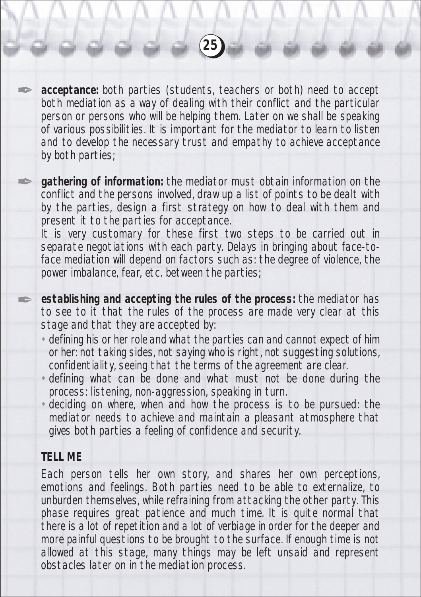**acceptance:** both parties (students, teachers or both) need to accept both mediation as a way of dealing with their conflict and the particular person or persons who will be helping them. Later on we shall be speaking of various possibilities. It is important for the mediator to learn to listen and to develop the necessary trust and empathy to achieve acceptance by both parties;

**25**

**gathering of information:** the mediator must obtain information on the conflict and the persons involved, draw up a list of points to be dealt with by the parties, design a first strategy on how to deal with them and present it to the parties for acceptance.

It is very customary for these first two steps to be carried out in separate negotiations with each party. Delays in bringing about face-toface mediation will depend on factors such as: the degree of violence, the power imbalance, fear, etc. between the parties;

**establishing and accepting the rules of the process:** the mediator has to see to it that the rules of the process are made very clear at this stage and that they are accepted by:

- defining his or her role and what the parties can and cannot expect of him or her: not taking sides, not saying who is right, not suggesting solutions, confidentiality, seeing that the terms of the agreement are clear.
- defining what can be done and what must not be done during the process: listening, non-aggression, speaking in turn.
- deciding on where, when and how the process is to be pursued: the mediator needs to achieve and maintain a pleasant atmosphere that gives both parties a feeling of confidence and security.

## **TELL ME**

**Altres** 

**September 2007** 

**Contract Contract Contract Contract Contract Contract Contract Contract Contract Contract Contract Contract C** 

Each person tells her own story, and shares her own perceptions, emotions and feelings. Both parties need to be able to externalize, to unburden themselves, while refraining from attacking the other party. This phase requires great patience and much time. It is quite normal that there is a lot of repetition and a lot of verbiage in order for the deeper and more painful questions to be brought to the surface. If enough time is not allowed at this stage, many things may be left unsaid and represent obstacles later on in the mediation process.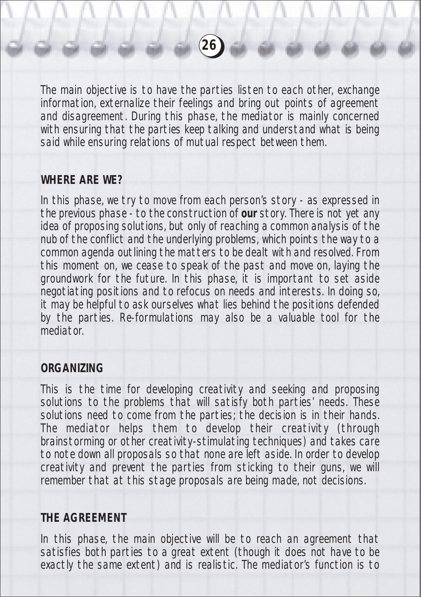The main objective is to have the parties listen to each other, exchange information, externalize their feelings and bring out points of agreement and disagreement. During this phase, the mediator is mainly concerned with ensuring that the parties keep talking and understand what is being said while ensuring relations of mutual respect between them.

**26**

## **WHERE ARE WE?**

In this phase, we try to move from each person's story - as expressed in the previous phase - to the construction of **our** story. There is not yet any idea of proposing solutions, but only of reaching a common analysis of the nub of the conflict and the underlying problems, which points the way to a common agenda outlining the matters to be dealt with and resolved. From this moment on, we cease to speak of the past and move on, laying the groundwork for the future. In this phase, it is important to set aside negotiating positions and to refocus on needs and interests. In doing so, it may be helpful to ask ourselves what lies behind the positions defended by the parties. Re-formulations may also be a valuable tool for the mediator.

## **ORGANIZING**

This is the time for developing creativity and seeking and proposing solutions to the problems that will satisfy both parties' needs. These solutions need to come from the parties; the decision is in their hands. The mediator helps them to develop their creativity (through brainstorming or other creativity-stimulating techniques) and takes care to note down all proposals so that none are left aside. In order to develop creativity and prevent the parties from sticking to their guns, we will remember that at this stage proposals are being made, not decisions.

## **THE AGREEMENT**

In this phase, the main objective will be to reach an agreement that satisfies both parties to a great extent (though it does not have to be exactly the same extent) and is realistic. The mediator's function is to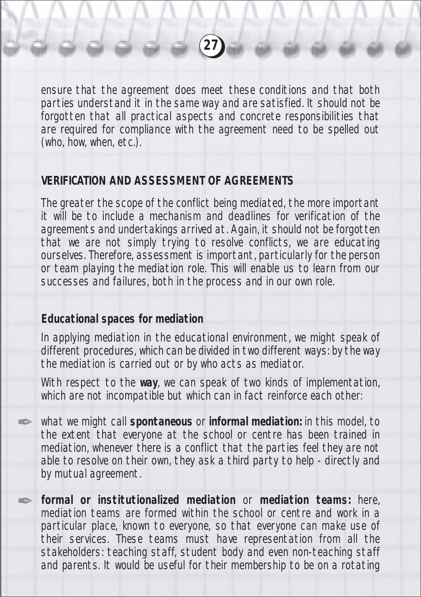ensure that the agreement does meet these conditions and that both parties understand it in the same way and are satisfied. It should not be forgotten that all practical aspects and concrete responsibilities that are required for compliance with the agreement need to be spelled out (who, how, when, etc.).

**27**

## **VERIFICATION AND ASSESSMENT OF AGREEMENTS**

The greater the scope of the conflict being mediated, the more important it will be to include a mechanism and deadlines for verification of the agreements and undertakings arrived at. Again, it should not be forgotten that we are not simply trying to resolve conflicts, we are educating ourselves. Therefore, assessment is important, particularly for the person or team playing the mediation role. This will enable us to learn from our successes and failures, both in the process and in our own role.

#### **Educational spaces for mediation**

**SERVICE** 

✒

In applying mediation in the educational environment, we might speak of different procedures, which can be divided in two different ways: by the way the mediation is carried out or by who acts as mediator.

With respect to the **way**, we can speak of two kinds of implementation, which are not incompatible but which can in fact reinforce each other:

what we might call **spontaneous** or **informal mediation:** in this model, to the extent that everyone at the school or centre has been trained in mediation, whenever there is a conflict that the parties feel they are not able to resolve on their own, they ask a third party to help - directly and by mutual agreement.

**formal or institutionalized mediation** or **mediation teams:** here, mediation teams are formed within the school or centre and work in a particular place, known to everyone, so that everyone can make use of their services. These teams must have representation from all the stakeholders: teaching staff, student body and even non-teaching staff and parents. It would be useful for their membership to be on a rotating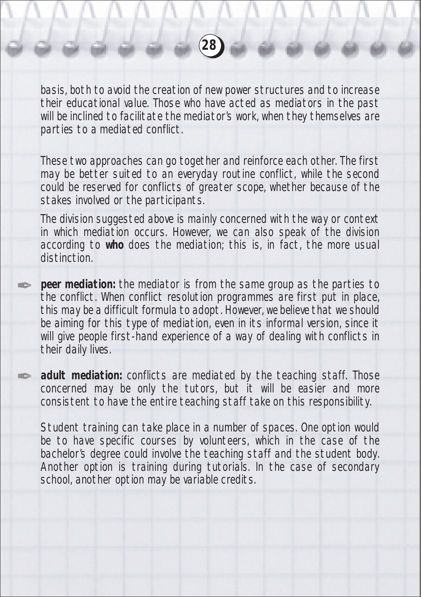basis, both to avoid the creation of new power structures and to increase their educational value. Those who have acted as mediators in the past will be inclined to facilitate the mediator's work, when they themselves are parties to a mediated conflict.

**28**

These two approaches can go together and reinforce each other. The first may be better suited to an everyday routine conflict, while the second could be reserved for conflicts of greater scope, whether because of the stakes involved or the participants.

The division suggested above is mainly concerned with the way or context in which mediation occurs. However, we can also speak of the division according to **who** does the mediation; this is, in fact, the more usual distinction.

**peer mediation:** the mediator is from the same group as the parties to the conflict. When conflict resolution programmes are first put in place, this may be a difficult formula to adopt. However, we believe that we should be aiming for this type of mediation, even in its informal version, since it will give people first-hand experience of a way of dealing with conflicts in their daily lives.

✒

✒

**adult mediation:** conflicts are mediated by the teaching staff. Those concerned may be only the tutors, but it will be easier and more consistent to have the entire teaching staff take on this responsibility.

Student training can take place in a number of spaces. One option would be to have specific courses by volunteers, which in the case of the bachelor's degree could involve the teaching staff and the student body. Another option is training during tutorials. In the case of secondary school, another option may be variable credits.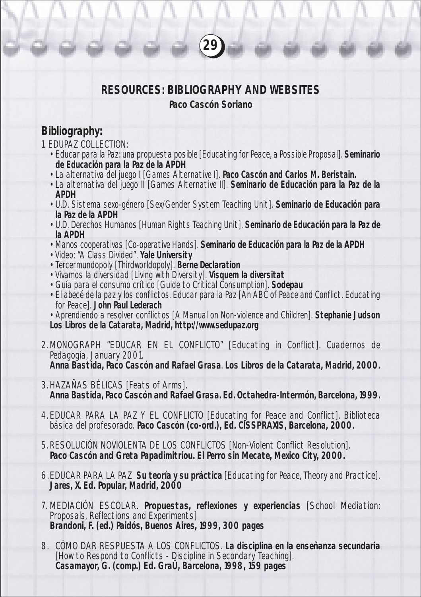# **RESOURCES: BIBLIOGRAPHY AND WEBSITES**

**29**

#### **Paco Cascón Soriano**

## **Bibliography:**

- 1. EDUPAZ COLLECTION:
	- Educar para la Paz: una propuesta posible [Educating for Peace, a Possible Proposal]. **Seminario de Educación para la Paz de la APDH**
	- La alternativa del juego I [Games Alternative I]. **Paco Cascón and Carlos M. Beristain.**
	- La alternativa del juego II [Games Alternative II]. **Seminario de Educación para la Paz de la APDH**
	- U.D. Sistema sexo-género [Sex/Gender System Teaching Unit]. **Seminario de Educación para la Paz de la APDH**
	- U.D. Derechos Humanos [Human Rights Teaching Unit]. **Seminario de Educación para la Paz de la APDH**
	- Manos cooperativas [Co-operative Hands]. **Seminario de Educación para la Paz de la APDH**
	- Video: "A Class Divided". **Yale University**
	- Tercermundopoly [Thirdworldopoly]. **Berne Declaration**
	- Vivamos la diversidad [Living with Diversity]. **Visquem la diversitat**
	- Guía para el consumo crítico [Guide to Critical Consumption]. **Sodepau**
	- El abecé de la paz y los conflictos. Educar para la Paz [An ABC of Peace and Conflict. Educating for Peace]. **John Paul Lederach**
	- Aprendiendo a resolver conflictos [A Manual on Non-violence and Children]. **Stephanie Judson Los Libros de la Catarata, Madrid, http://www.sedupaz.org**
- 2. MONOGRAPH "EDUCAR EN EL CONFLICTO" [Educating in Conflict]. Cuadernos de Pedagogía, January 2001. **Anna Bastida, Paco Cascón and Rafael Grasa**. **Los Libros de la Catarata, Madrid, 2000.**
- 3. HAZAÑAS BÉLICAS [Feats of Arms]. **Anna Bastida, Paco Cascón and Rafael Grasa. Ed. Octahedra-Intermón, Barcelona, 1999.**
- 4. EDUCAR PARA LA PAZ Y EL CONFLICTO [Educating for Peace and Conflict]. Biblioteca básica del profesorado. **Paco Cascón (co-ord.), Ed. CISSPRAXIS, Barcelona, 2000.**
- 5. RESOLUCIÓN NOVIOLENTA DE LOS CONFLICTOS [Non-Violent Conflict Resolution]. **Paco Cascón and Greta Papadimitriou. El Perro sin Mecate, Mexico City, 2000.**
- 6.EDUCAR PARA LA PAZ **Su teoría y su práctica** [Educating for Peace, Theory and Practice]. Jares, X. Ed. Popular, Madrid, 2000
- 7. MEDIACIÓN ESCOLAR. **Propuestas, reflexiones y experiencias** [School Mediation: Proposals, Reflections and Experiments] **Brandoni, F. (ed.) Paidós, Buenos Aires, 1999, 300 pages**
- 8. CÓMO DAR RESPUESTA A LOS CONFLICTOS. **La disciplina en la enseñanza secundaria** [How to Respond to Conflicts - Discipline in Secondary Teaching]. **Casamayor, G. (comp.) Ed. GraÛ, Barcelona, 1998, 159 pages**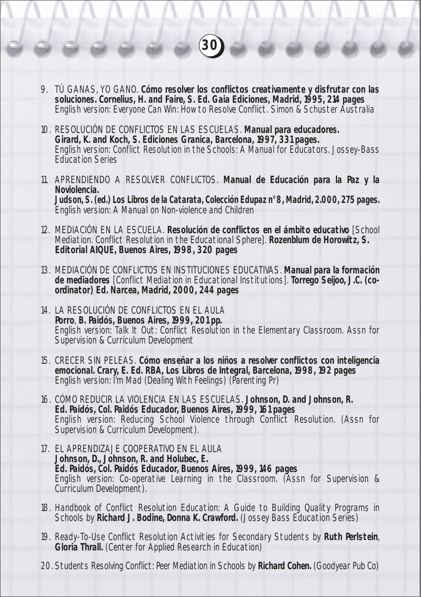9. TÚ GANAS, YO GANO. **Cómo resolver los conflictos creativamente y disfrutar con las soluciones. Cornelius, H. and Faire, S. Ed. Gaia Ediciones, Madrid, 1995, 214 pages** English version: Everyone Can Win: How to Resolve Conflict. Simon & Schuster Australia

**30**

- 10. RESOLUCIÓN DE CONFLICTOS EN LAS ESCUELAS. **Manual para educadores. Girard, K. and Koch, S. Ediciones Granica, Barcelona, 1997, 331 pages.** English version: Conflict Resolution in the Schools: A Manual for Educators. Jossey-Bass Education Series
- 11. APRENDIENDO A RESOLVER CONFLICTOS. **Manual de Educación para la Paz y la Noviolencia. Judson, S. (ed.) Los Libros de la Catarata, Colección Edupaz n° 8, Madrid, 2.000, 275 pages.** English version: A Manual on Non-violence and Children
- 12. MEDIACIÓN EN LA ESCUELA. **Resolución de conflictos en el ámbito educativo** [School Mediation. Conflict Resolution in the Educational Sphere]. **Rozenblum de Horowitz, S. Editorial AIQUE, Buenos Aires, 1998, 320 pages**
- 13. MEDIACIÓN DE CONFLICTOS EN INSTITUCIONES EDUCATIVAS. **Manual para la formación de mediadores** [Conflict Mediation in Educational Institutions]. **Torrego Seijoo, J.C. (coordinator) Ed. Narcea, Madrid, 2000, 244 pages**
- 14. LA RESOLUCIÓN DE CONFLICTOS EN EL AULA **Porro**, **B. Paidós, Buenos Aires, 1999, 201 pp.** English version: Talk It Out: Conflict Resolution in the Elementary Classroom. Assn for Supervision & Curriculum Development
- 15. CRECER SIN PELEAS. **Cómo enseñar a los niños a resolver conflictos con inteligencia emocional. Crary, E. Ed. RBA, Los Libros de Integral, Barcelona, 1998, 192 pages** English version: I'm Mad (Dealing With Feelings) (Parenting Pr)
- 16. CÓMO REDUCIR LA VIOLENCIA EN LAS ESCUELAS. **Johnson, D. and Johnson, R. Ed. Paidós, Col. Paidós Educador, Buenos Aires, 1999, 161 pages** English version: Reducing School Violence through Conflict Resolution. (Assn for Supervision & Curriculum Development).
- 17. EL APRENDIZAJE COOPERATIVO EN EL AULA **Johnson, D., Johnson, R. and Holubec, E. Ed. Paidós, Col. Paidós Educador, Buenos Aires, 1999, 146 pages** English version: Co-operative Learning in the Classroom. (Assn for Supervision & Curriculum Development).
- 18. Handbook of Conflict Resolution Education: A Guide to Building Quality Programs in Schools by **Richard J. Bodine, Donna K. Crawford.** (Jossey Bass Education Series)
- 19. Ready-To-Use Conflict Resolution Activities for Secondary Students by **Ruth Perlstein**, **Gloria Thrall.** (Center for Applied Research in Education)
- 20. Students Resolving Conflict: Peer Mediation in Schools by **Richard Cohen.** (Goodyear Pub Co)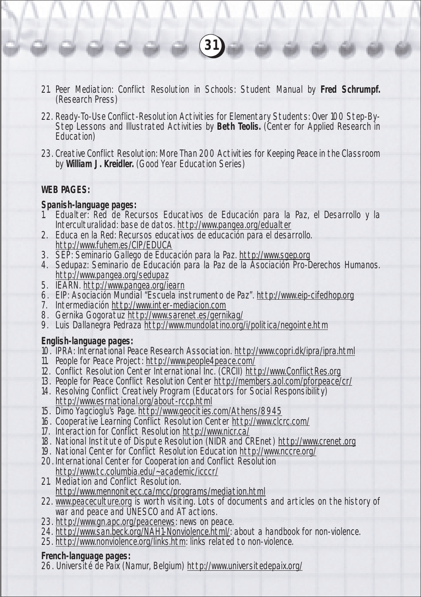21. Peer Mediation: Conflict Resolution in Schools: Student Manual by **Fred Schrumpf.** (Research Press)

**31**

- 22. Ready-To-Use Conflict-Resolution Activities for Elementary Students: Over 100 Step-By-Step Lessons and Illustrated Activities by **Beth Teolis.** (Center for Applied Research in Education)
- 23. Creative Conflict Resolution: More Than 200 Activities for Keeping Peace in the Classroom by **William J. Kreidler.** (Good Year Education Series)

#### **WEB PAGES:**

#### **Spanish-language pages:**

- 1. Edualter: Red de Recursos Educativos de Educación para la Paz, el Desarrollo y la Interculturalidad: base de datos. http://www.pangea.org/edualter
- 2. Educa en la Red: Recursos educativos de educación para el desarrollo. http://www.fuhem.es/CIP/EDUCA
- 3. SEP: Seminario Gallego de Educación para la Paz. http://www.sgep.org
- 4. Sedupaz: Seminario de Educación para la Paz de la Asociación Pro-Derechos Humanos. http://www.pangea.org/sedupaz
- 5. IEARN. http://www.pangea.org/iearn
- 6. EIP: Asociación Mundial "Escuela instrumento de Paz". http://www.eip-cifedhop.org
- 7. Intermediación http://www.inter-mediacion.com
- 8. Gernika Gogoratuz http://www.sarenet.es/gernikag/
- 9. Luis Dallanegra Pedraza http://www.mundolatino.org/i/politica/negointe.htm

#### **English-language pages:**

- 10. IPRA: International Peace Research Association. http://www.copri.dk/ipra/ipra.html
- 11. People for Peace Project: http://www.people4peace.com/
- 12. Conflict Resolution Center International Inc. (CRCII) http://www.ConflictRes.org
- 13. People for Peace Conflict Resolution Center http://members.aol.com/pforpeace/cr/
- 14. Resolving Conflict Creatively Program (Educators for Social Responsibility) http://www.esrnational.org/about-rccp.html
- 15. Dimo Yagcioglu's Page. http://www.geocities.com/Athens/8945
- 16. Cooperative Learning Conflict Resolution Center http://www.clcrc.com/
- 17. Interaction for Conflict Resolution http://www.nicr.ca/
- 18. National Institute of Dispute Resolution (NIDR and CREnet) http://www.crenet.org
- 19. National Center for Conflict Resolution Education http://www.nccre.org/
- 20. International Center for Cooperation and Conflict Resolution http://www.tc.columbia.edu/~academic/icccr/
- 21. Mediation and Conflict Resolution. http://www.mennonitecc.ca/mcc/programs/mediation.html
- 22. www.peaceculture.org is worth visiting. Lots of documents and articles on the history of war and peace and UNESCO and AT actions.
- 23. http://www.gn.apc.org/peacenews: news on peace.
- 24. http://www.san.beck.org/NAH1-Nonviolence.html/: about a handbook for non-violence.
- 25. http://www.nonviolence.org/links.htm: links related to non-violence.

#### **French-language pages:**

26. Université de Paix (Namur, Belgium) http://www.universitedepaix.org/